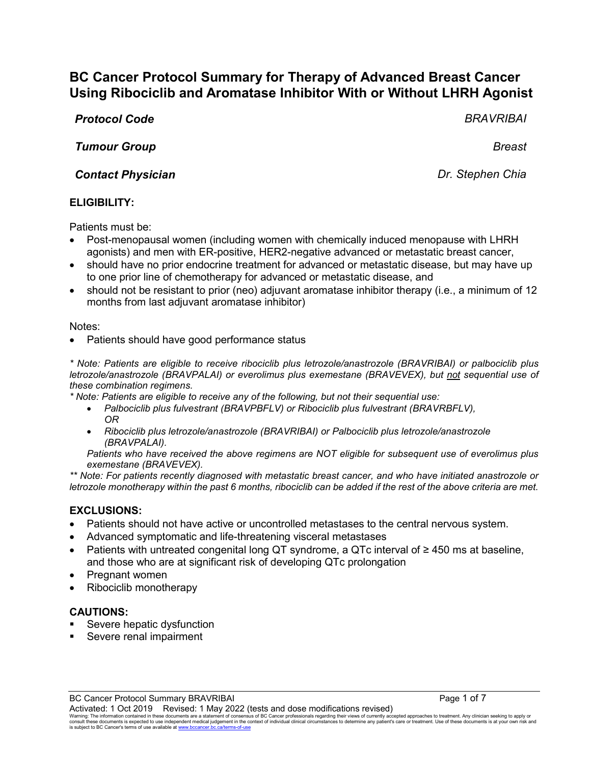# **BC Cancer Protocol Summary for Therapy of Advanced Breast Cancer Using Ribociclib and Aromatase Inhibitor With or Without LHRH Agonist**

## *Protocol Code BRAVRIBAI*

# *Tumour Group Breast*

## *Contact Physician Dr. Stephen Chia*

### **ELIGIBILITY:**

Patients must be:

- Post-menopausal women (including women with chemically induced menopause with LHRH agonists) and men with ER-positive, HER2-negative advanced or metastatic breast cancer,
- should have no prior endocrine treatment for advanced or metastatic disease, but may have up to one prior line of chemotherapy for advanced or metastatic disease, and
- should not be resistant to prior (neo) adjuvant aromatase inhibitor therapy (i.e., a minimum of 12 months from last adjuvant aromatase inhibitor)

#### Notes:

Patients should have good performance status

*\* Note: Patients are eligible to receive ribociclib plus letrozole/anastrozole (BRAVRIBAI) or palbociclib plus letrozole/anastrozole (BRAVPALAI) or everolimus plus exemestane (BRAVEVEX), but not sequential use of these combination regimens.*

*\* Note: Patients are eligible to receive any of the following, but not their sequential use:*

- *Palbociclib plus fulvestrant (BRAVPBFLV) or Ribociclib plus fulvestrant (BRAVRBFLV), OR*
- *Ribociclib plus letrozole/anastrozole (BRAVRIBAI) or Palbociclib plus letrozole/anastrozole (BRAVPALAI).*

*Patients who have received the above regimens are NOT eligible for subsequent use of everolimus plus exemestane (BRAVEVEX).* 

*\*\* Note: For patients recently diagnosed with metastatic breast cancer, and who have initiated anastrozole or letrozole monotherapy within the past 6 months, ribociclib can be added if the rest of the above criteria are met.* 

#### **EXCLUSIONS:**

- Patients should not have active or uncontrolled metastases to the central nervous system.
- Advanced symptomatic and life-threatening visceral metastases
- Patients with untreated congenital long QT syndrome, a QTc interval of ≥ 450 ms at baseline, and those who are at significant risk of developing QTc prolongation
- Pregnant women
- Ribociclib monotherapy

#### **CAUTIONS:**

- Severe hepatic dysfunction
- Severe renal impairment

Waming: The information contained in these documents are a statement of consensus of BC Cancer professionals regarding their views of currently accepted approaches to treatment been the state in the content and particular is subject to BC Cancer's terms of use available at www.bccancer.bc.ca/terms-of-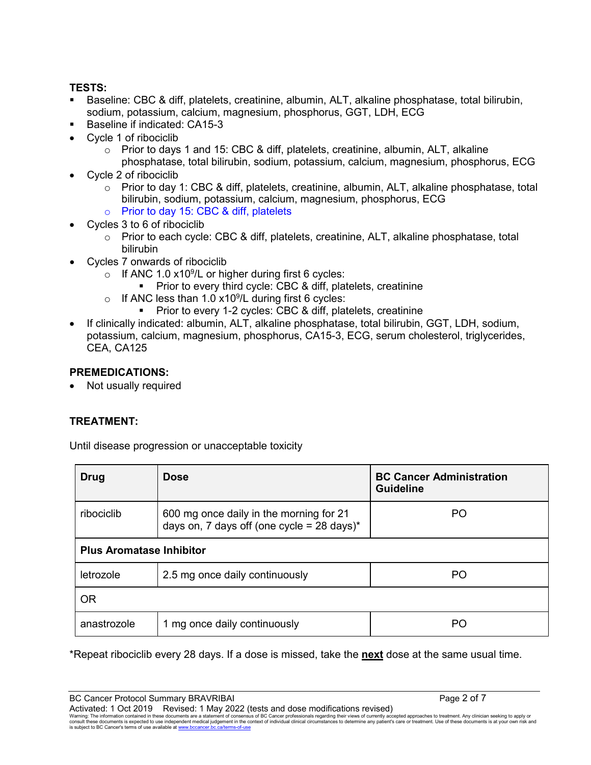### **TESTS:**

- Baseline: CBC & diff, platelets, creatinine, albumin, ALT, alkaline phosphatase, total bilirubin, sodium, potassium, calcium, magnesium, phosphorus, GGT, LDH, ECG
- Baseline if indicated: CA15-3
- Cycle 1 of ribociclib
	- $\circ$  Prior to days 1 and 15: CBC & diff, platelets, creatinine, albumin, ALT, alkaline
	- phosphatase, total bilirubin, sodium, potassium, calcium, magnesium, phosphorus, ECG
- Cycle 2 of ribociclib
	- $\circ$  Prior to day 1: CBC & diff, platelets, creatinine, albumin, ALT, alkaline phosphatase, total bilirubin, sodium, potassium, calcium, magnesium, phosphorus, ECG
	- o Prior to day 15: CBC & diff, platelets
- Cycles 3 to 6 of ribociclib
	- $\circ$  Prior to each cycle: CBC & diff, platelets, creatinine, ALT, alkaline phosphatase, total bilirubin
- Cycles 7 onwards of ribociclib
	- $\circ$  If ANC 1.0 x10<sup>9</sup>/L or higher during first 6 cycles:
		- Prior to every third cycle: CBC & diff, platelets, creatinine
	- $\circ$  If ANC less than 1.0 x10<sup>9</sup>/L during first 6 cycles:
		- Prior to every 1-2 cycles: CBC & diff, platelets, creatinine
- If clinically indicated: albumin, ALT, alkaline phosphatase, total bilirubin, GGT, LDH, sodium, potassium, calcium, magnesium, phosphorus, CA15-3, ECG, serum cholesterol, triglycerides, CEA, CA125

# **PREMEDICATIONS:**

• Not usually required

# **TREATMENT:**

Until disease progression or unacceptable toxicity

| Drug                            | <b>Dose</b>                                                                                            | <b>BC Cancer Administration</b><br><b>Guideline</b> |  |
|---------------------------------|--------------------------------------------------------------------------------------------------------|-----------------------------------------------------|--|
| ribociclib                      | 600 mg once daily in the morning for 21<br>PΟ<br>days on, 7 days off (one cycle = $28 \text{ days}$ )* |                                                     |  |
| <b>Plus Aromatase Inhibitor</b> |                                                                                                        |                                                     |  |
| letrozole                       | 2.5 mg once daily continuously                                                                         | PO.                                                 |  |
| <b>OR</b>                       |                                                                                                        |                                                     |  |
| anastrozole                     | 1 mg once daily continuously                                                                           | PΟ                                                  |  |

\*Repeat ribociclib every 28 days. If a dose is missed, take the **next** dose at the same usual time.

Activated: 1 Oct 2019 Revised: 1 May 2022 (tests and dose modifications revised)

Waming: The information contained in these documents are a statement of consensus of BC Cancer professionals regarding their views of currently accepted approaches to treatment been the state in the content and particular is subject to BC Cancer's terms of use available at www.bccancer.bc.ca/terms-of-u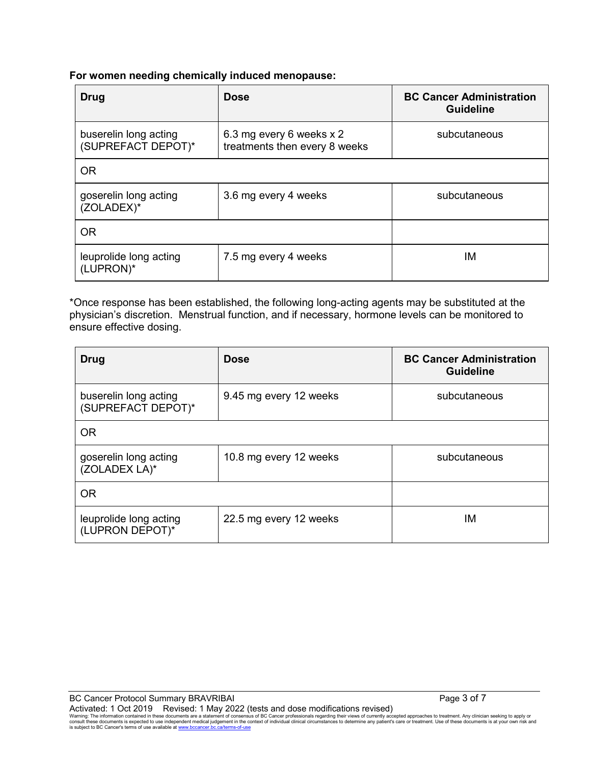### **For women needing chemically induced menopause:**

| Drug                                        | <b>Dose</b>                                               | <b>BC Cancer Administration</b><br><b>Guideline</b> |
|---------------------------------------------|-----------------------------------------------------------|-----------------------------------------------------|
| buserelin long acting<br>(SUPREFACT DEPOT)* | 6.3 mg every 6 weeks x 2<br>treatments then every 8 weeks | subcutaneous                                        |
| <b>OR</b>                                   |                                                           |                                                     |
| goserelin long acting<br>(ZOLADEX)*         | 3.6 mg every 4 weeks                                      | subcutaneous                                        |
| <b>OR</b>                                   |                                                           |                                                     |
| leuprolide long acting<br>(LUPRON)*         | 7.5 mg every 4 weeks                                      | ΙM                                                  |

\*Once response has been established, the following long-acting agents may be substituted at the physician's discretion. Menstrual function, and if necessary, hormone levels can be monitored to ensure effective dosing.

| Drug                                        | <b>Dose</b>            | <b>BC Cancer Administration</b><br><b>Guideline</b> |
|---------------------------------------------|------------------------|-----------------------------------------------------|
| buserelin long acting<br>(SUPREFACT DEPOT)* | 9.45 mg every 12 weeks | subcutaneous                                        |
| <b>OR</b>                                   |                        |                                                     |
| goserelin long acting<br>(ZOLADEX LA)*      | 10.8 mg every 12 weeks | subcutaneous                                        |
| <b>OR</b>                                   |                        |                                                     |
| leuprolide long acting<br>(LUPRON DEPOT)*   | 22.5 mg every 12 weeks | ΙM                                                  |

BC Cancer Protocol Summary BRAVRIBAI **Page 3 of 7** and 2011 12 and 2012 12 and 2014 Activated: 1 Oct 2019 Revised: 1 May 2022 (tests and dose modifications revised)

Warning: The information contained in these documents are a statement of consensus of BC Cancer professionals regarding their views of currently accepted approaches to treatment. Any clinician seeking to apply or<br>consult t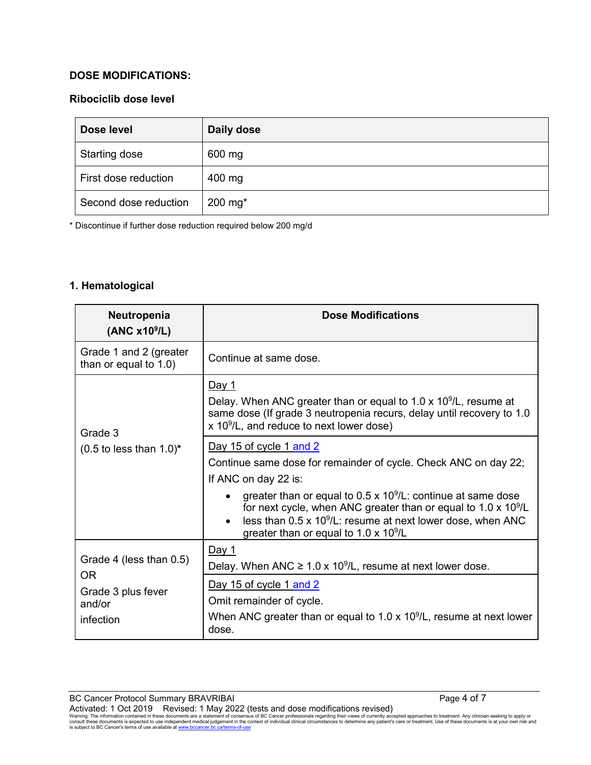### **DOSE MODIFICATIONS:**

### **Ribociclib dose level**

| Dose level            | Daily dose            |
|-----------------------|-----------------------|
| Starting dose         | 600 mg                |
| First dose reduction  | 400 mg                |
| Second dose reduction | $200$ mg <sup>*</sup> |

\* Discontinue if further dose reduction required below 200 mg/d

### **1. Hematological**

| Neutropenia<br>(ANC x10 <sup>9</sup> /L)                                   | <b>Dose Modifications</b>                                                                                                                                                                                                                                                                                                                                                                                     |
|----------------------------------------------------------------------------|---------------------------------------------------------------------------------------------------------------------------------------------------------------------------------------------------------------------------------------------------------------------------------------------------------------------------------------------------------------------------------------------------------------|
| Grade 1 and 2 (greater<br>than or equal to 1.0)                            | Continue at same dose.                                                                                                                                                                                                                                                                                                                                                                                        |
| Grade 3                                                                    | Day 1<br>Delay. When ANC greater than or equal to 1.0 x $10^9$ /L, resume at<br>same dose (If grade 3 neutropenia recurs, delay until recovery to 1.0<br>$x$ 10 <sup>9</sup> /L, and reduce to next lower dose)                                                                                                                                                                                               |
| $(0.5$ to less than $1.0$ <sup>*</sup>                                     | Day 15 of cycle 1 and 2<br>Continue same dose for remainder of cycle. Check ANC on day 22;<br>If ANC on day 22 is:<br>greater than or equal to $0.5 \times 10^9$ /L: continue at same dose<br>for next cycle, when ANC greater than or equal to $1.0 \times 10^9$ /L<br>less than 0.5 x 10 <sup>9</sup> /L: resume at next lower dose, when ANC<br>$\bullet$<br>greater than or equal to $1.0 \times 10^9$ /L |
| Grade 4 (less than 0.5)<br>0R<br>Grade 3 plus fever<br>and/or<br>infection | <u>Day 1</u><br>Delay. When ANC $\geq 1.0 \times 10^9$ /L, resume at next lower dose.                                                                                                                                                                                                                                                                                                                         |
|                                                                            | Day 15 of cycle 1 and 2<br>Omit remainder of cycle.<br>When ANC greater than or equal to 1.0 x $10^9$ /L, resume at next lower<br>dose.                                                                                                                                                                                                                                                                       |

Warning: The information contained in these documents are a statement of consensus of BC Cancer professionals regarding their views of currently accepted approaches to treatment. Any clinician seeking to apply or<br>consult t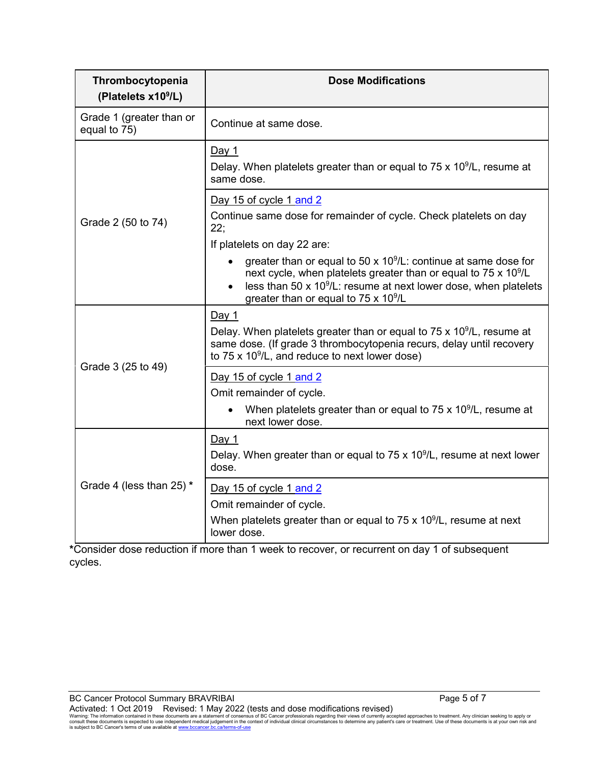| Thrombocytopenia<br>(Platelets x10 <sup>9</sup> /L) | <b>Dose Modifications</b>                                                                                                                                                                                                                                                                 |
|-----------------------------------------------------|-------------------------------------------------------------------------------------------------------------------------------------------------------------------------------------------------------------------------------------------------------------------------------------------|
| Grade 1 (greater than or<br>equal to 75)            | Continue at same dose.                                                                                                                                                                                                                                                                    |
|                                                     | <u>Day 1</u><br>Delay. When platelets greater than or equal to $75 \times 10^9$ /L, resume at<br>same dose.                                                                                                                                                                               |
| Grade 2 (50 to 74)                                  | Day 15 of cycle 1 and 2<br>Continue same dose for remainder of cycle. Check platelets on day<br>22:<br>If platelets on day 22 are:                                                                                                                                                        |
|                                                     | greater than or equal to 50 x $10^9$ /L: continue at same dose for<br>next cycle, when platelets greater than or equal to 75 x 10 <sup>9</sup> /L<br>less than 50 x $10^9$ /L: resume at next lower dose, when platelets<br>$\bullet$<br>greater than or equal to 75 x 10 <sup>9</sup> /L |
|                                                     | Day $1$<br>Delay. When platelets greater than or equal to $75 \times 10^9$ /L, resume at<br>same dose. (If grade 3 thrombocytopenia recurs, delay until recovery<br>to $75 \times 10^9$ /L, and reduce to next lower dose)                                                                |
| Grade 3 (25 to 49)                                  | Day 15 of cycle 1 and 2<br>Omit remainder of cycle.                                                                                                                                                                                                                                       |
|                                                     | When platelets greater than or equal to 75 x $10^9$ /L, resume at<br>next lower dose.                                                                                                                                                                                                     |
|                                                     | Day 1<br>Delay. When greater than or equal to 75 x 10 $^9$ /L, resume at next lower<br>dose.                                                                                                                                                                                              |
| Grade 4 (less than $25$ ) *                         | Day 15 of cycle 1 and 2<br>Omit remainder of cycle.<br>When platelets greater than or equal to 75 x $10^9$ /L, resume at next<br>lower dose.                                                                                                                                              |

**\***Consider dose reduction if more than 1 week to recover, or recurrent on day 1 of subsequent cycles.

Activated: 1 Oct 2019 Revised: 1 May 2022 (tests and dose modifications revised)<br>Warning: The information contained in these documents are a statement of consensus of BC Cancer professionals regarding their views of cu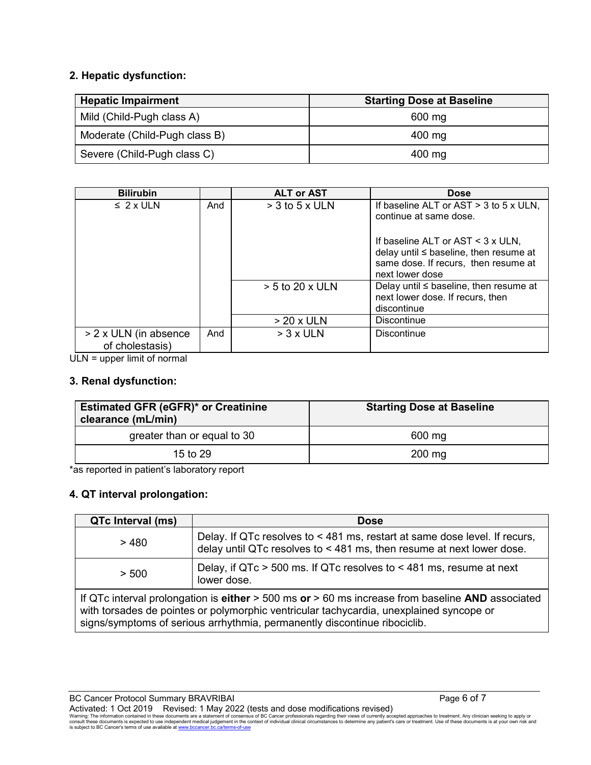### **2. Hepatic dysfunction:**

| <b>Hepatic Impairment</b>     | <b>Starting Dose at Baseline</b> |
|-------------------------------|----------------------------------|
| Mild (Child-Pugh class A)     | 600 mg                           |
| Moderate (Child-Pugh class B) | 400 mg                           |
| Severe (Child-Pugh class C)   | 400 mg                           |

| <b>Bilirubin</b>                         |     | <b>ALT or AST</b>                | <b>Dose</b>                                                                                                                                                                                                       |
|------------------------------------------|-----|----------------------------------|-------------------------------------------------------------------------------------------------------------------------------------------------------------------------------------------------------------------|
| $\leq 2 \times$ ULN                      | And | $>$ 3 to 5 x ULN                 | If baseline ALT or AST $>$ 3 to 5 x ULN,<br>continue at same dose.<br>If baseline ALT or AST $\leq$ 3 x ULN,<br>delay until ≤ baseline, then resume at<br>same dose. If recurs, then resume at<br>next lower dose |
|                                          |     | $> 5$ to 20 x ULN<br>$> 20x$ ULN | Delay until $\leq$ baseline, then resume at<br>next lower dose. If recurs, then<br>discontinue<br><b>Discontinue</b>                                                                                              |
| > 2 x ULN (in absence<br>of cholestasis) | And | $> 3x$ ULN                       | Discontinue                                                                                                                                                                                                       |

ULN = upper limit of normal

#### **3. Renal dysfunction:**

| <b>Estimated GFR (eGFR)* or Creatinine</b><br>clearance (mL/min) | <b>Starting Dose at Baseline</b> |
|------------------------------------------------------------------|----------------------------------|
| greater than or equal to 30                                      | 600 mg                           |
| 15 to $29$                                                       | $200 \text{ mg}$                 |

\*as reported in patient's laboratory report

#### **4. QT interval prolongation:**

| QTc Interval (ms)                                                                                                                                                                                                                                                            | <b>Dose</b>                                                                                                                                         |  |
|------------------------------------------------------------------------------------------------------------------------------------------------------------------------------------------------------------------------------------------------------------------------------|-----------------------------------------------------------------------------------------------------------------------------------------------------|--|
| > 480                                                                                                                                                                                                                                                                        | Delay. If QTc resolves to < 481 ms, restart at same dose level. If recurs,<br>delay until QTc resolves to < 481 ms, then resume at next lower dose. |  |
| > 500                                                                                                                                                                                                                                                                        | Delay, if $QTc > 500$ ms. If QTc resolves to $\lt 481$ ms, resume at next<br>lower dose.                                                            |  |
| If QTc interval prolongation is either $> 500$ ms or $> 60$ ms increase from baseline AND associated<br>with torsades de pointes or polymorphic ventricular tachycardia, unexplained syncope or<br>signs/symptoms of serious arrhythmia, permanently discontinue ribociclib. |                                                                                                                                                     |  |

BC Cancer Protocol Summary BRAVRIBAI **Page 6 of 7** and 2011 11 and 2012 12:30 Page 6 of 7 Activated: 1 Oct 2019 Revised: 1 May 2022 (tests and dose modifications revised)

Warning: The information contained in these documents are a statement of consensus of BC Cancer professionals regarding their views of currently accepted approaches to treatment. Any clinician seeking to apply or<br>consult t